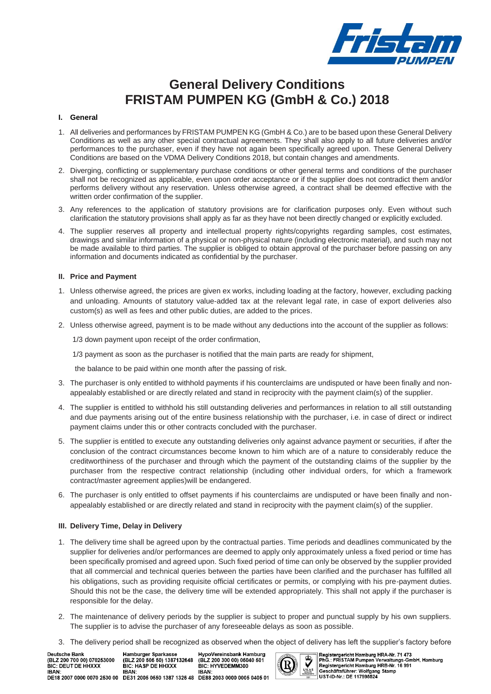

# **General Delivery Conditions FRISTAM PUMPEN KG (GmbH & Co.) 2018**

## **I. General**

- 1. All deliveries and performances by FRISTAM PUMPEN KG (GmbH & Co.) are to be based upon these General Delivery Conditions as well as any other special contractual agreements. They shall also apply to all future deliveries and/or performances to the purchaser, even if they have not again been specifically agreed upon. These General Delivery Conditions are based on the VDMA Delivery Conditions 2018, but contain changes and amendments.
- 2. Diverging, conflicting or supplementary purchase conditions or other general terms and conditions of the purchaser shall not be recognized as applicable, even upon order acceptance or if the supplier does not contradict them and/or performs delivery without any reservation. Unless otherwise agreed, a contract shall be deemed effective with the written order confirmation of the supplier.
- 3. Any references to the application of statutory provisions are for clarification purposes only. Even without such clarification the statutory provisions shall apply as far as they have not been directly changed or explicitly excluded.
- 4. The supplier reserves all property and intellectual property rights/copyrights regarding samples, cost estimates, drawings and similar information of a physical or non-physical nature (including electronic material), and such may not be made available to third parties. The supplier is obliged to obtain approval of the purchaser before passing on any information and documents indicated as confidential by the purchaser.

#### **II. Price and Payment**

- 1. Unless otherwise agreed, the prices are given ex works, including loading at the factory, however, excluding packing and unloading. Amounts of statutory value-added tax at the relevant legal rate, in case of export deliveries also custom(s) as well as fees and other public duties, are added to the prices.
- 2. Unless otherwise agreed, payment is to be made without any deductions into the account of the supplier as follows:

1/3 down payment upon receipt of the order confirmation,

1/3 payment as soon as the purchaser is notified that the main parts are ready for shipment,

the balance to be paid within one month after the passing of risk.

- 3. The purchaser is only entitled to withhold payments if his counterclaims are undisputed or have been finally and nonappealably established or are directly related and stand in reciprocity with the payment claim(s) of the supplier.
- 4. The supplier is entitled to withhold his still outstanding deliveries and performances in relation to all still outstanding and due payments arising out of the entire business relationship with the purchaser, i.e. in case of direct or indirect payment claims under this or other contracts concluded with the purchaser.
- 5. The supplier is entitled to execute any outstanding deliveries only against advance payment or securities, if after the conclusion of the contract circumstances become known to him which are of a nature to considerably reduce the creditworthiness of the purchaser and through which the payment of the outstanding claims of the supplier by the purchaser from the respective contract relationship (including other individual orders, for which a framework contract/master agreement applies)will be endangered.
- 6. The purchaser is only entitled to offset payments if his counterclaims are undisputed or have been finally and nonappealably established or are directly related and stand in reciprocity with the payment claim(s) of the supplier.

## **III. Delivery Time, Delay in Delivery**

**Deutsche Bank** 

**IBAN** 

BIC: DEUT DE HHXXX

- 1. The delivery time shall be agreed upon by the contractual parties. Time periods and deadlines communicated by the supplier for deliveries and/or performances are deemed to apply only approximately unless a fixed period or time has been specifically promised and agreed upon. Such fixed period of time can only be observed by the supplier provided that all commercial and technical queries between the parties have been clarified and the purchaser has fulfilled all his obligations, such as providing requisite official certificates or permits, or complying with his pre-payment duties. Should this not be the case, the delivery time will be extended appropriately. This shall not apply if the purchaser is responsible for the delay.
- 2. The maintenance of delivery periods by the supplier is subject to proper and punctual supply by his own suppliers. The supplier is to advise the purchaser of any foreseeable delays as soon as possible.
- 3. The delivery period shall be recognized as observed when the object of delivery has left the supplier's factory before

Hamburger Sparkasse<br>(BLZ 200 505 50) 1387132648 (BLZ 200 700 00) 070253000 BIC: HASP DE HHXXX **IBAN** DE18 2007 0000 0070 2530 00 DE31 2005 0550 1387 1326 48 DE88 2003 0000 0005 0405 01

HypoVereinsbank Hamburg<br>(BLZ 200 300 00) 05040 501 BIC: HYVEDEMM300 **IBAN** 

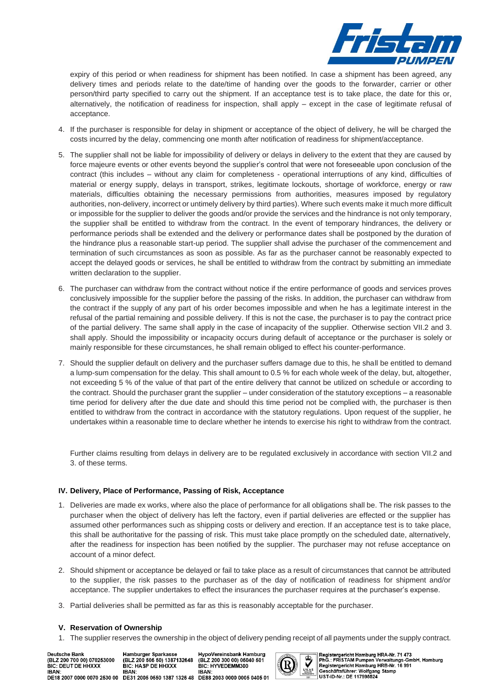

expiry of this period or when readiness for shipment has been notified. In case a shipment has been agreed, any delivery times and periods relate to the date/time of handing over the goods to the forwarder, carrier or other person/third party specified to carry out the shipment. If an acceptance test is to take place, the date for this or, alternatively, the notification of readiness for inspection, shall apply – except in the case of legitimate refusal of acceptance.

- 4. If the purchaser is responsible for delay in shipment or acceptance of the object of delivery, he will be charged the costs incurred by the delay, commencing one month after notification of readiness for shipment/acceptance.
- 5. The supplier shall not be liable for impossibility of delivery or delays in delivery to the extent that they are caused by force majeure events or other events beyond the supplier's control that were not foreseeable upon conclusion of the contract (this includes – without any claim for completeness - operational interruptions of any kind, difficulties of material or energy supply, delays in transport, strikes, legitimate lockouts, shortage of workforce, energy or raw materials, difficulties obtaining the necessary permissions from authorities, measures imposed by regulatory authorities, non-delivery, incorrect or untimely delivery by third parties). Where such events make it much more difficult or impossible for the supplier to deliver the goods and/or provide the services and the hindrance is not only temporary, the supplier shall be entitled to withdraw from the contract. In the event of temporary hindrances, the delivery or performance periods shall be extended and the delivery or performance dates shall be postponed by the duration of the hindrance plus a reasonable start-up period. The supplier shall advise the purchaser of the commencement and termination of such circumstances as soon as possible. As far as the purchaser cannot be reasonably expected to accept the delayed goods or services, he shall be entitled to withdraw from the contract by submitting an immediate written declaration to the supplier.
- 6. The purchaser can withdraw from the contract without notice if the entire performance of goods and services proves conclusively impossible for the supplier before the passing of the risks. In addition, the purchaser can withdraw from the contract if the supply of any part of his order becomes impossible and when he has a legitimate interest in the refusal of the partial remaining and possible delivery. If this is not the case, the purchaser is to pay the contract price of the partial delivery. The same shall apply in the case of incapacity of the supplier. Otherwise section VII.2 and 3. shall apply. Should the impossibility or incapacity occurs during default of acceptance or the purchaser is solely or mainly responsible for these circumstances, he shall remain obliged to effect his counter-performance.
- 7. Should the supplier default on delivery and the purchaser suffers damage due to this, he shall be entitled to demand a lump-sum compensation for the delay. This shall amount to 0.5 % for each whole week of the delay, but, altogether, not exceeding 5 % of the value of that part of the entire delivery that cannot be utilized on schedule or according to the contract. Should the purchaser grant the supplier – under consideration of the statutory exceptions – a reasonable time period for delivery after the due date and should this time period not be complied with, the purchaser is then entitled to withdraw from the contract in accordance with the statutory regulations. Upon request of the supplier, he undertakes within a reasonable time to declare whether he intends to exercise his right to withdraw from the contract.

Further claims resulting from delays in delivery are to be regulated exclusively in accordance with section VII.2 and 3. of these terms.

## **IV. Delivery, Place of Performance, Passing of Risk, Acceptance**

- 1. Deliveries are made ex works, where also the place of performance for all obligations shall be. The risk passes to the purchaser when the object of delivery has left the factory, even if partial deliveries are effected or the supplier has assumed other performances such as shipping costs or delivery and erection. If an acceptance test is to take place, this shall be authoritative for the passing of risk. This must take place promptly on the scheduled date, alternatively, after the readiness for inspection has been notified by the supplier. The purchaser may not refuse acceptance on account of a minor defect.
- 2. Should shipment or acceptance be delayed or fail to take place as a result of circumstances that cannot be attributed to the supplier, the risk passes to the purchaser as of the day of notification of readiness for shipment and/or acceptance. The supplier undertakes to effect the insurances the purchaser requires at the purchaser's expense.
- 3. Partial deliveries shall be permitted as far as this is reasonably acceptable for the purchaser.

#### **V. Reservation of Ownership**

1. The supplier reserves the ownership in the object of delivery pending receipt of all payments under the supply contract.

Deutsche Bank (BLZ 200 700 00) 070253000 BIC: DEUT DE HHXXX BIC: HASP DE HHXXX **IBAN** DE18 2007 0000 0070 2530 00 DE31 2005 0550 1387 1326 48 DE88 2003 0000 0005 0405 01

**IBAN** 

Hamburger Sparkasse<br>(BLZ 200 505 50) 1387132648 **IBAN** 



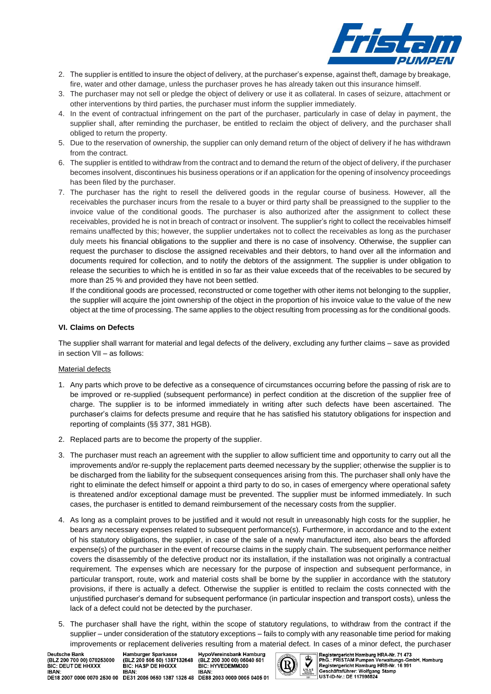

- 2. The supplier is entitled to insure the object of delivery, at the purchaser's expense, against theft, damage by breakage, fire, water and other damage, unless the purchaser proves he has already taken out this insurance himself.
- 3. The purchaser may not sell or pledge the object of delivery or use it as collateral. In cases of seizure, attachment or other interventions by third parties, the purchaser must inform the supplier immediately.
- 4. In the event of contractual infringement on the part of the purchaser, particularly in case of delay in payment, the supplier shall, after reminding the purchaser, be entitled to reclaim the object of delivery, and the purchaser shall obliged to return the property.
- 5. Due to the reservation of ownership, the supplier can only demand return of the object of delivery if he has withdrawn from the contract.
- 6. The supplier is entitled to withdraw from the contract and to demand the return of the object of delivery, if the purchaser becomes insolvent, discontinues his business operations or if an application for the opening of insolvency proceedings has been filed by the purchaser.
- 7. The purchaser has the right to resell the delivered goods in the regular course of business. However, all the receivables the purchaser incurs from the resale to a buyer or third party shall be preassigned to the supplier to the invoice value of the conditional goods. The purchaser is also authorized after the assignment to collect these receivables, provided he is not in breach of contract or insolvent. The supplier's right to collect the receivables himself remains unaffected by this; however, the supplier undertakes not to collect the receivables as long as the purchaser duly meets his financial obligations to the supplier and there is no case of insolvency. Otherwise, the supplier can request the purchaser to disclose the assigned receivables and their debtors, to hand over all the information and documents required for collection, and to notify the debtors of the assignment. The supplier is under obligation to release the securities to which he is entitled in so far as their value exceeds that of the receivables to be secured by more than 25 % and provided they have not been settled.

If the conditional goods are processed, reconstructed or come together with other items not belonging to the supplier, the supplier will acquire the joint ownership of the object in the proportion of his invoice value to the value of the new object at the time of processing. The same applies to the object resulting from processing as for the conditional goods.

# **VI. Claims on Defects**

The supplier shall warrant for material and legal defects of the delivery, excluding any further claims – save as provided in section VII – as follows:

## Material defects

- 1. Any parts which prove to be defective as a consequence of circumstances occurring before the passing of risk are to be improved or re-supplied (subsequent performance) in perfect condition at the discretion of the supplier free of charge. The supplier is to be informed immediately in writing after such defects have been ascertained. The purchaser's claims for defects presume and require that he has satisfied his statutory obligations for inspection and reporting of complaints (§§ 377, 381 HGB).
- 2. Replaced parts are to become the property of the supplier.
- 3. The purchaser must reach an agreement with the supplier to allow sufficient time and opportunity to carry out all the improvements and/or re-supply the replacement parts deemed necessary by the supplier; otherwise the supplier is to be discharged from the liability for the subsequent consequences arising from this. The purchaser shall only have the right to eliminate the defect himself or appoint a third party to do so, in cases of emergency where operational safety is threatened and/or exceptional damage must be prevented. The supplier must be informed immediately. In such cases, the purchaser is entitled to demand reimbursement of the necessary costs from the supplier.
- 4. As long as a complaint proves to be justified and it would not result in unreasonably high costs for the supplier, he bears any necessary expenses related to subsequent performance(s). Furthermore, in accordance and to the extent of his statutory obligations, the supplier, in case of the sale of a newly manufactured item, also bears the afforded expense(s) of the purchaser in the event of recourse claims in the supply chain. The subsequent performance neither covers the disassembly of the defective product nor its installation, if the installation was not originally a contractual requirement. The expenses which are necessary for the purpose of inspection and subsequent performance, in particular transport, route, work and material costs shall be borne by the supplier in accordance with the statutory provisions, if there is actually a defect. Otherwise the supplier is entitled to reclaim the costs connected with the unjustified purchaser's demand for subsequent performance (in particular inspection and transport costs), unless the lack of a defect could not be detected by the purchaser.
- 5. The purchaser shall have the right, within the scope of statutory regulations, to withdraw from the contract if the supplier – under consideration of the statutory exceptions – fails to comply with any reasonable time period for making improvements or replacement deliveries resulting from a material defect. In cases of a minor defect, the purchaser

Deutsche Bank<br>(BLZ 200 700 00) 070253000 BIC: DEUT DE HHXXX **IBAN** DE18 2007 0000 0070 2530 00 DE31 2005 0550 1387 1326 48 DE88 2003 0000 0005 0405 01

Hamburger Sparkasse<br>(BLZ 200 505 50) 1387132648 BIC: HASP DE HHXXX **IBAN** 

HypoVereinsbank Hamburg<br>(BLZ 200 300 00) 05040 501 BIC: HYVEDEMM300 **IBAN** 

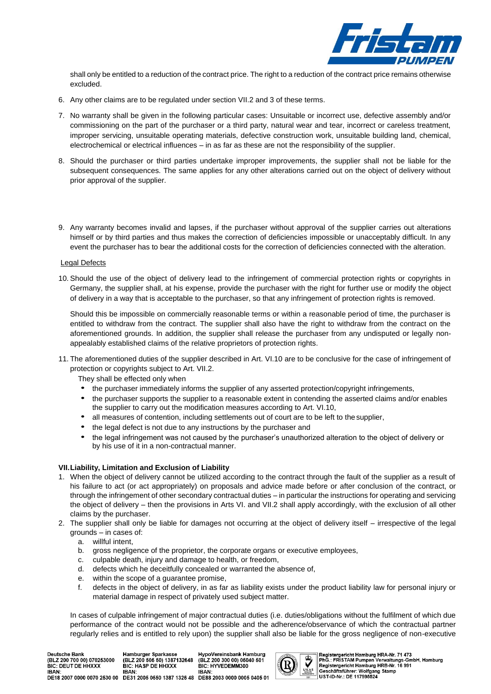

shall only be entitled to a reduction of the contract price. The right to a reduction of the contract price remains otherwise excluded.

- 6. Any other claims are to be regulated under section VII.2 and 3 of these terms.
- 7. No warranty shall be given in the following particular cases: Unsuitable or incorrect use, defective assembly and/or commissioning on the part of the purchaser or a third party, natural wear and tear, incorrect or careless treatment, improper servicing, unsuitable operating materials, defective construction work, unsuitable building land, chemical, electrochemical or electrical influences – in as far as these are not the responsibility of the supplier.
- 8. Should the purchaser or third parties undertake improper improvements, the supplier shall not be liable for the subsequent consequences. The same applies for any other alterations carried out on the object of delivery without prior approval of the supplier.
- 9. Any warranty becomes invalid and lapses, if the purchaser without approval of the supplier carries out alterations himself or by third parties and thus makes the correction of deficiencies impossible or unacceptably difficult. In any event the purchaser has to bear the additional costs for the correction of deficiencies connected with the alteration.

### Legal Defects

10. Should the use of the object of delivery lead to the infringement of commercial protection rights or copyrights in Germany, the supplier shall, at his expense, provide the purchaser with the right for further use or modify the object of delivery in a way that is acceptable to the purchaser, so that any infringement of protection rights is removed.

Should this be impossible on commercially reasonable terms or within a reasonable period of time, the purchaser is entitled to withdraw from the contract. The supplier shall also have the right to withdraw from the contract on the aforementioned grounds. In addition, the supplier shall release the purchaser from any undisputed or legally nonappealably established claims of the relative proprietors of protection rights.

11. The aforementioned duties of the supplier described in Art. VI.10 are to be conclusive for the case of infringement of protection or copyrights subject to Art. VII.2.

They shall be effected only when

- the purchaser immediately informs the supplier of any asserted protection/copyright infringements,
- the purchaser supports the supplier to a reasonable extent in contending the asserted claims and/or enables the supplier to carry out the modification measures according to Art. VI.10,
- all measures of contention, including settlements out of court are to be left to the supplier,
- the legal defect is not due to any instructions by the purchaser and
- the legal infringement was not caused by the purchaser's unauthorized alteration to the object of delivery or by his use of it in a non-contractual manner.

## **VII.Liability, Limitation and Exclusion of Liability**

- 1. When the object of delivery cannot be utilized according to the contract through the fault of the supplier as a result of his failure to act (or act appropriately) on proposals and advice made before or after conclusion of the contract, or through the infringement of other secondary contractual duties – in particular the instructions for operating and servicing the object of delivery – then the provisions in Arts VI. and VII.2 shall apply accordingly, with the exclusion of all other claims by the purchaser.
- 2. The supplier shall only be liable for damages not occurring at the object of delivery itself irrespective of the legal grounds – in cases of:
	- a. willful intent,
	- b. gross negligence of the proprietor, the corporate organs or executive employees,
	- c. culpable death, injury and damage to health, or freedom,
	- d. defects which he deceitfully concealed or warranted the absence of,
	- e. within the scope of a guarantee promise,
	- f. defects in the object of delivery, in as far as liability exists under the product liability law for personal injury or material damage in respect of privately used subject matter.

In cases of culpable infringement of major contractual duties (i.e. duties/obligations without the fulfilment of which due performance of the contract would not be possible and the adherence/observance of which the contractual partner regularly relies and is entitled to rely upon) the supplier shall also be liable for the gross negligence of non-executive

Deutsche Bank<br>(BLZ 200 700 00) 070253000 BIC: DEUT DE HHXXX **IBAN** 

Hamburger Sparkasse<br>(BLZ 200 505 50) 1387132648 BIC: HASP DE HHXXX **IBAN** 

HypoVereinsbank Hamburg<br>(BLZ 200 300 00) 05040 501 BIC: HYVEDEMM300 **IBAN** 



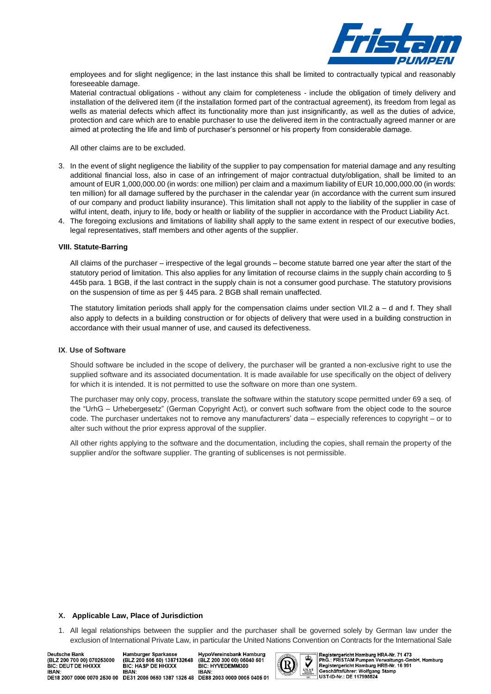

employees and for slight negligence; in the last instance this shall be limited to contractually typical and reasonably foreseeable damage.

Material contractual obligations - without any claim for completeness - include the obligation of timely delivery and installation of the delivered item (if the installation formed part of the contractual agreement), its freedom from legal as wells as material defects which affect its functionality more than just insignificantly, as well as the duties of advice, protection and care which are to enable purchaser to use the delivered item in the contractually agreed manner or are aimed at protecting the life and limb of purchaser's personnel or his property from considerable damage.

All other claims are to be excluded.

- 3. In the event of slight negligence the liability of the supplier to pay compensation for material damage and any resulting additional financial loss, also in case of an infringement of major contractual duty/obligation, shall be limited to an amount of EUR 1,000,000.00 (in words: one million) per claim and a maximum liability of EUR 10,000,000.00 (in words: ten million) for all damage suffered by the purchaser in the calendar year (in accordance with the current sum insured of our company and product liability insurance). This limitation shall not apply to the liability of the supplier in case of wilful intent, death, injury to life, body or health or liability of the supplier in accordance with the Product Liability Act.
- 4. The foregoing exclusions and limitations of liability shall apply to the same extent in respect of our executive bodies, legal representatives, staff members and other agents of the supplier.

### **VIII. Statute-Barring**

All claims of the purchaser – irrespective of the legal grounds – become statute barred one year after the start of the statutory period of limitation. This also applies for any limitation of recourse claims in the supply chain according to § 445b para. 1 BGB, if the last contract in the supply chain is not a consumer good purchase. The statutory provisions on the suspension of time as per § 445 para. 2 BGB shall remain unaffected.

The statutory limitation periods shall apply for the compensation claims under section VII.2 a – d and f. They shall also apply to defects in a building construction or for objects of delivery that were used in a building construction in accordance with their usual manner of use, and caused its defectiveness.

#### **IX**. **Use of Software**

Should software be included in the scope of delivery, the purchaser will be granted a non-exclusive right to use the supplied software and its associated documentation. It is made available for use specifically on the object of delivery for which it is intended. It is not permitted to use the software on more than one system.

The purchaser may only copy, process, translate the software within the statutory scope permitted under 69 a seq. of the "UrhG – Urhebergesetz" (German Copyright Act), or convert such software from the object code to the source code. The purchaser undertakes not to remove any manufacturers' data – especially references to copyright – or to alter such without the prior express approval of the supplier.

All other rights applying to the software and the documentation, including the copies, shall remain the property of the supplier and/or the software supplier. The granting of sublicenses is not permissible.

#### **X. Applicable Law, Place of Jurisdiction**

1. All legal relationships between the supplier and the purchaser shall be governed solely by German law under the exclusion of International Private Law, in particular the United Nations Convention on Contracts for the International Sale

Deutsche Bank (BLZ 200 700 00) 070253000 BIC: DEUT DE HHXXX **IBAN:** DE18 2007 0000 0070 2530 00 DE31 2005 0550 1387 1326 48 DE88 2003 0000 0005 0405 01

HypoVereinsbank Hamburg<br>(BLZ 200 300 00) 05040 501 BIC: HYVEDEMM300 **IBAN**